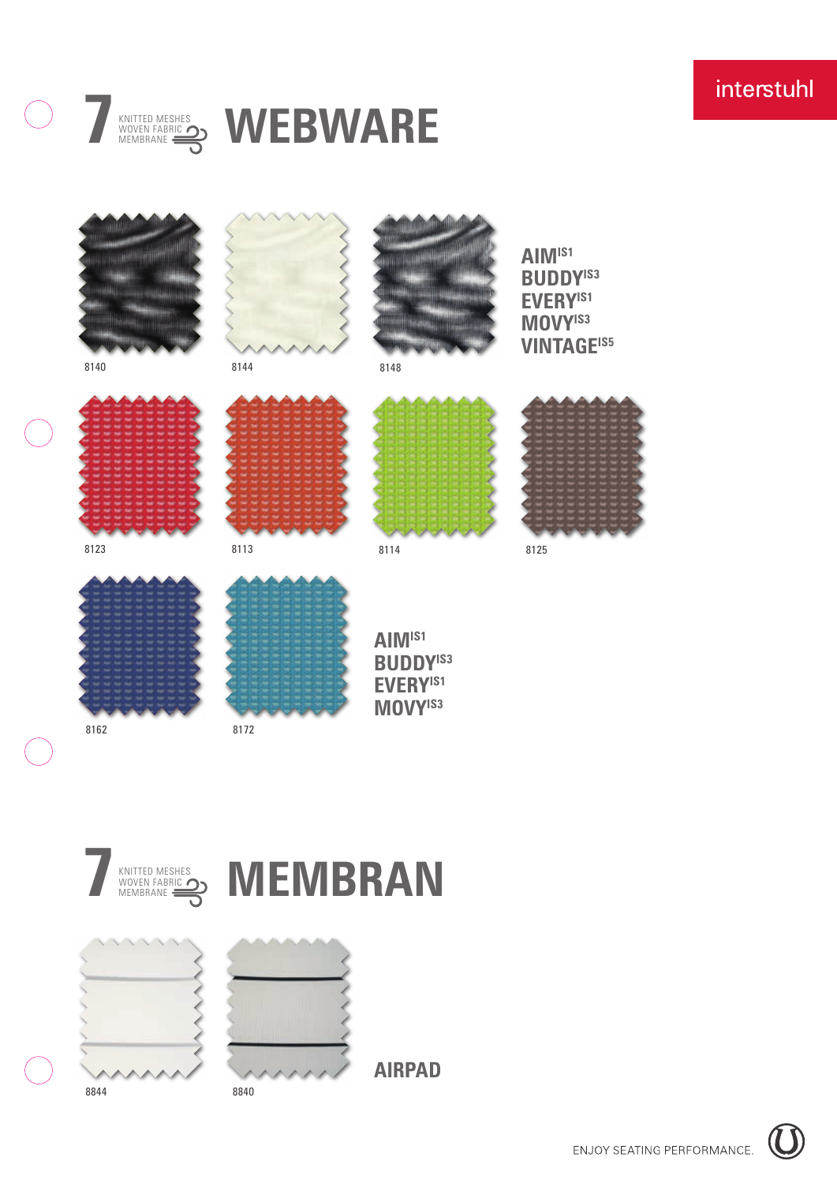

# **KNITTED MESHES**<br>MEMBRANE SONITHED **WEBWARE**











**AIRPAD**